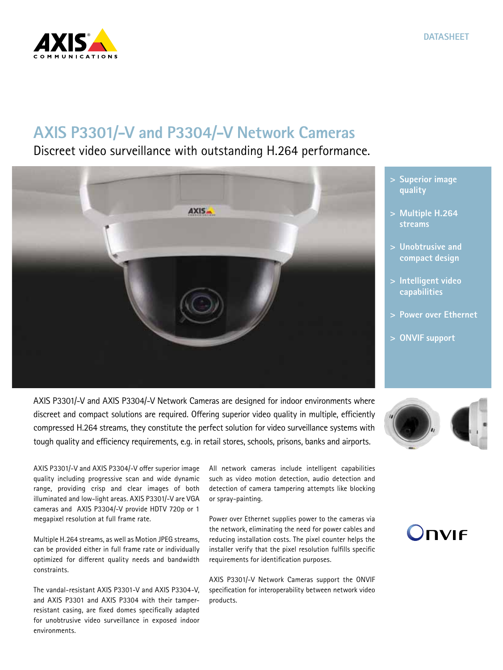## **AXIS P3301/-V and P3304/-V Network Cameras**

Discreet video surveillance with outstanding H.264 performance.

AXIS P3301/-V and AXIS P3304/-V Network Cameras are designed for indoor environments where discreet and compact solutions are required. Offering superior video quality in multiple, efficiently compressed H.264 streams, they constitute the perfect solution for video surveillance systems with tough quality and efficiency requirements, e.g. in retail stores, schools, prisons, banks and airports.

AXIS P3301/-V and AXIS P3304/-V offer superior image quality including progressive scan and wide dynamic range, providing crisp and clear images of both illuminated and low-light areas. AXIS P3301/-V are VGA cameras and AXIS P3304/-V provide HDTV 720p or 1 megapixel resolution at full frame rate.

Multiple H.264 streams, as well as Motion JPEG streams, can be provided either in full frame rate or individually optimized for different quality needs and bandwidth constraints.

The vandal-resistant AXIS P3301-V and AXIS P3304-V, and AXIS P3301 and AXIS P3304 with their tamperresistant casing, are fixed domes specifically adapted for unobtrusive video surveillance in exposed indoor environments.

All network cameras include intelligent capabilities such as video motion detection, audio detection and detection of camera tampering attempts like blocking or spray-painting.

Power over Ethernet supplies power to the cameras via the network, eliminating the need for power cables and reducing installation costs. The pixel counter helps the installer verify that the pixel resolution fulfills specific requirements for identification purposes.

AXIS P3301/-V Network Cameras support the ONVIF specification for interoperability between network video products.

- **> Superior image quality**
- **> Multiple H.264 streams**
- **> Unobtrusive and compact design**
- **> Intelligent video capabilities**
- **> Power over Ethernet**
- **> ONVIF support**



**DVIF**